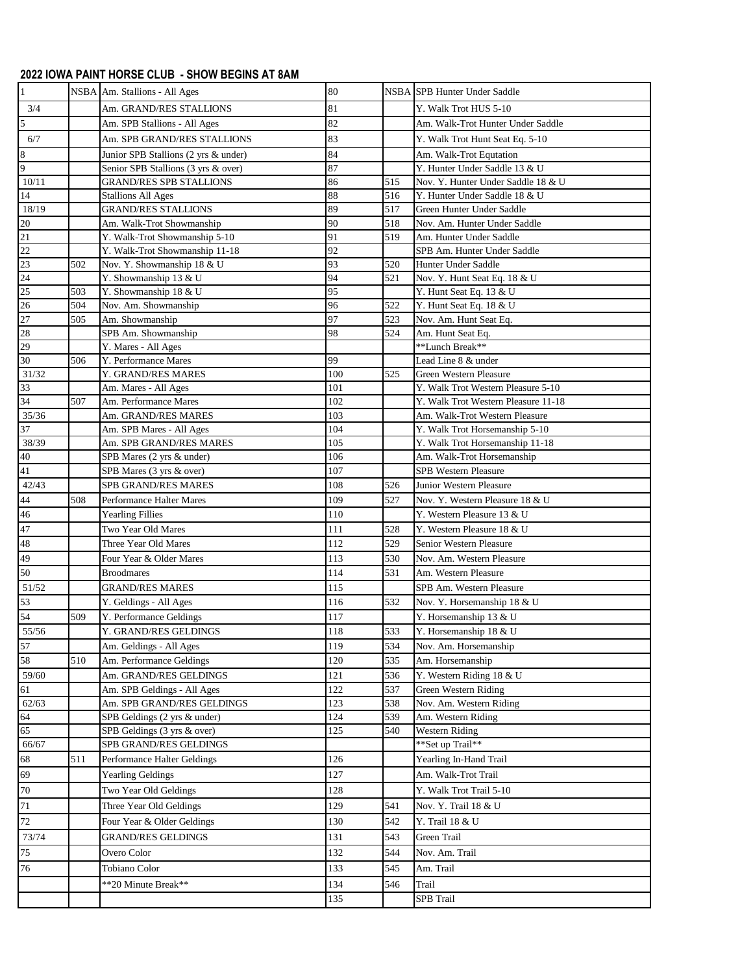## **2022 IOWA PAINT HORSE CLUB - SHOW BEGINS AT 8AM**

| $\mathbf{1}$    |     | NSBA Am. Stallions - All Ages        | 80  |     | NSBA SPB Hunter Under Saddle        |
|-----------------|-----|--------------------------------------|-----|-----|-------------------------------------|
| 3/4             |     | Am. GRAND/RES STALLIONS              | 81  |     | Y. Walk Trot HUS 5-10               |
| 5               |     | Am. SPB Stallions - All Ages         | 82  |     | Am. Walk-Trot Hunter Under Saddle   |
| 6/7             |     | Am. SPB GRAND/RES STALLIONS          | 83  |     | Y. Walk Trot Hunt Seat Eq. 5-10     |
| 8               |     | Junior SPB Stallions (2 yrs & under) | 84  |     | Am. Walk-Trot Equtation             |
| 9               |     | Senior SPB Stallions (3 yrs & over)  | 87  |     | Y. Hunter Under Saddle 13 & U       |
| 10/11           |     | <b>GRAND/RES SPB STALLIONS</b>       | 86  | 515 | Nov. Y. Hunter Under Saddle 18 & U  |
| 14              |     | <b>Stallions All Ages</b>            | 88  | 516 | Y. Hunter Under Saddle 18 & U       |
| 18/19           |     | <b>GRAND/RES STALLIONS</b>           | 89  | 517 | Green Hunter Under Saddle           |
| $20\,$          |     | Am. Walk-Trot Showmanship            | 90  | 518 | Nov. Am. Hunter Under Saddle        |
| 21              |     | Y. Walk-Trot Showmanship 5-10        | 91  | 519 | Am. Hunter Under Saddle             |
| $\overline{22}$ |     | Y. Walk-Trot Showmanship 11-18       | 92  |     | SPB Am. Hunter Under Saddle         |
| 23              | 502 | Nov. Y. Showmanship 18 & U           | 93  | 520 | Hunter Under Saddle                 |
| $\overline{24}$ |     | Y. Showmanship 13 & U                | 94  | 521 | Nov. Y. Hunt Seat Eq. 18 & U        |
| 25              | 503 | Y. Showmanship 18 & U                | 95  |     | Y. Hunt Seat Eq. 13 & U             |
| $\overline{26}$ | 504 | Nov. Am. Showmanship                 | 96  | 522 | Y. Hunt Seat Eq. 18 & U             |
| 27              | 505 | Am. Showmanship                      | 97  | 523 | Nov. Am. Hunt Seat Eq.              |
| 28              |     | SPB Am. Showmanship                  | 98  | 524 | Am. Hunt Seat Eq.                   |
| 29              |     | Y. Mares - All Ages                  |     |     | **Lunch Break**                     |
| 30              | 506 | Y. Performance Mares                 | 99  |     | Lead Line 8 & under                 |
| 31/32           |     | Y. GRAND/RES MARES                   | 100 | 525 | Green Western Pleasure              |
| 33              |     | Am. Mares - All Ages                 | 101 |     | Y. Walk Trot Western Pleasure 5-10  |
| 34              | 507 | Am. Performance Mares                | 102 |     | Y. Walk Trot Western Pleasure 11-18 |
| 35/36           |     | Am. GRAND/RES MARES                  | 103 |     | Am. Walk-Trot Western Pleasure      |
| 37              |     | Am. SPB Mares - All Ages             | 104 |     | Y. Walk Trot Horsemanship 5-10      |
| 38/39           |     | Am. SPB GRAND/RES MARES              | 105 |     | Y. Walk Trot Horsemanship 11-18     |
| $40\,$          |     | SPB Mares (2 yrs & under)            | 106 |     | Am. Walk-Trot Horsemanship          |
| 41              |     | SPB Mares (3 yrs & over)             | 107 |     | SPB Western Pleasure                |
| 42/43           |     | SPB GRAND/RES MARES                  | 108 | 526 | Junior Western Pleasure             |
| 44              | 508 | Performance Halter Mares             | 109 | 527 | Nov. Y. Western Pleasure 18 & U     |
| 46              |     | <b>Yearling Fillies</b>              | 110 |     | Y. Western Pleasure 13 & U          |
| 47              |     | Two Year Old Mares                   | 111 | 528 | Y. Western Pleasure 18 & U          |
| 48              |     | Three Year Old Mares                 | 112 | 529 | Senior Western Pleasure             |
| 49              |     | Four Year & Older Mares              | 113 | 530 | Nov. Am. Western Pleasure           |
| 50              |     | <b>Broodmares</b>                    | 114 | 531 | Am. Western Pleasure                |
| 51/52           |     | <b>GRAND/RES MARES</b>               | 115 |     | SPB Am. Western Pleasure            |
| 53              |     | Y. Geldings - All Ages               | 116 | 532 | Nov. Y. Horsemanship 18 & U         |
| 54              | 509 | Y. Performance Geldings              | 117 |     | Y. Horsemanship 13 & U              |
| 55/56           |     | Y. GRAND/RES GELDINGS                | 118 | 533 | Y. Horsemanship 18 & U              |
| 57              |     | Am. Geldings - All Ages              | 119 | 534 | Nov. Am. Horsemanship               |
| 58              | 510 | Am. Performance Geldings             | 120 | 535 | Am. Horsemanship                    |
| 59/60           |     | Am. GRAND/RES GELDINGS               | 121 | 536 | Y. Western Riding 18 & U            |
| 61              |     | Am. SPB Geldings - All Ages          | 122 | 537 | Green Western Riding                |
| 62/63           |     | Am. SPB GRAND/RES GELDINGS           | 123 | 538 | Nov. Am. Western Riding             |
| 64              |     | SPB Geldings (2 yrs & under)         | 124 | 539 | Am. Western Riding                  |
| 65              |     | SPB Geldings (3 yrs & over)          | 125 | 540 | <b>Western Riding</b>               |
| 66/67           |     | SPB GRAND/RES GELDINGS               |     |     | ** Set up Trail**                   |
| 68              | 511 | Performance Halter Geldings          | 126 |     | Yearling In-Hand Trail              |
| 69              |     | <b>Yearling Geldings</b>             | 127 |     | Am. Walk-Trot Trail                 |
| 70              |     | Two Year Old Geldings                | 128 |     | Y. Walk Trot Trail 5-10             |
| 71              |     | Three Year Old Geldings              | 129 | 541 | Nov. Y. Trail 18 & U                |
| $72\,$          |     |                                      |     | 542 | Y. Trail 18 & U                     |
|                 |     | Four Year & Older Geldings           | 130 |     |                                     |
| 73/74           |     | <b>GRAND/RES GELDINGS</b>            | 131 | 543 | Green Trail                         |
| 75              |     | Overo Color                          | 132 | 544 | Nov. Am. Trail                      |
| 76              |     | Tobiano Color                        | 133 | 545 | Am. Trail                           |
|                 |     |                                      | 134 | 546 | Trail                               |
|                 |     | **20 Minute Break**                  | 135 |     | SPB Trail                           |